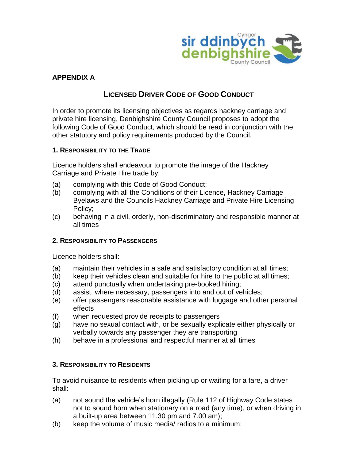

# **APPENDIX A**

# **LICENSED DRIVER CODE OF GOOD CONDUCT**

In order to promote its licensing objectives as regards hackney carriage and private hire licensing, Denbighshire County Council proposes to adopt the following Code of Good Conduct, which should be read in conjunction with the other statutory and policy requirements produced by the Council.

### **1. RESPONSIBILITY TO THE TRADE**

Licence holders shall endeavour to promote the image of the Hackney Carriage and Private Hire trade by:

- (a) complying with this Code of Good Conduct;
- (b) complying with all the Conditions of their Licence, Hackney Carriage Byelaws and the Councils Hackney Carriage and Private Hire Licensing Policy;
- (c) behaving in a civil, orderly, non-discriminatory and responsible manner at all times

#### **2. RESPONSIBILITY TO PASSENGERS**

Licence holders shall:

- (a) maintain their vehicles in a safe and satisfactory condition at all times;
- (b) keep their vehicles clean and suitable for hire to the public at all times;
- (c) attend punctually when undertaking pre-booked hiring;
- (d) assist, where necessary, passengers into and out of vehicles;
- (e) offer passengers reasonable assistance with luggage and other personal effects
- (f) when requested provide receipts to passengers
- (g) have no sexual contact with, or be sexually explicate either physically or verbally towards any passenger they are transporting
- (h) behave in a professional and respectful manner at all times

# **3. RESPONSIBILITY TO RESIDENTS**

To avoid nuisance to residents when picking up or waiting for a fare, a driver shall:

- (a) not sound the vehicle's horn illegally (Rule 112 of Highway Code states not to sound horn when stationary on a road (any time), or when driving in a built-up area between 11.30 pm and 7.00 am);
- (b) keep the volume of music media/ radios to a minimum;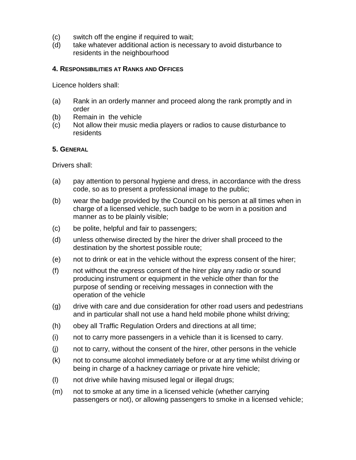- (c) switch off the engine if required to wait;
- (d) take whatever additional action is necessary to avoid disturbance to residents in the neighbourhood

#### **4. RESPONSIBILITIES AT RANKS AND OFFICES**

Licence holders shall:

- (a) Rank in an orderly manner and proceed along the rank promptly and in order
- (b) Remain in the vehicle
- (c) Not allow their music media players or radios to cause disturbance to residents

#### **5. GENERAL**

Drivers shall:

- (a) pay attention to personal hygiene and dress, in accordance with the dress code, so as to present a professional image to the public;
- (b) wear the badge provided by the Council on his person at all times when in charge of a licensed vehicle, such badge to be worn in a position and manner as to be plainly visible;
- (c) be polite, helpful and fair to passengers;
- (d) unless otherwise directed by the hirer the driver shall proceed to the destination by the shortest possible route;
- (e) not to drink or eat in the vehicle without the express consent of the hirer;
- (f) not without the express consent of the hirer play any radio or sound producing instrument or equipment in the vehicle other than for the purpose of sending or receiving messages in connection with the operation of the vehicle
- (g) drive with care and due consideration for other road users and pedestrians and in particular shall not use a hand held mobile phone whilst driving;
- (h) obey all Traffic Regulation Orders and directions at all time;
- (i) not to carry more passengers in a vehicle than it is licensed to carry.
- (j) not to carry, without the consent of the hirer, other persons in the vehicle
- (k) not to consume alcohol immediately before or at any time whilst driving or being in charge of a hackney carriage or private hire vehicle;
- (l) not drive while having misused legal or illegal drugs;
- (m) not to smoke at any time in a licensed vehicle (whether carrying passengers or not), or allowing passengers to smoke in a licensed vehicle;